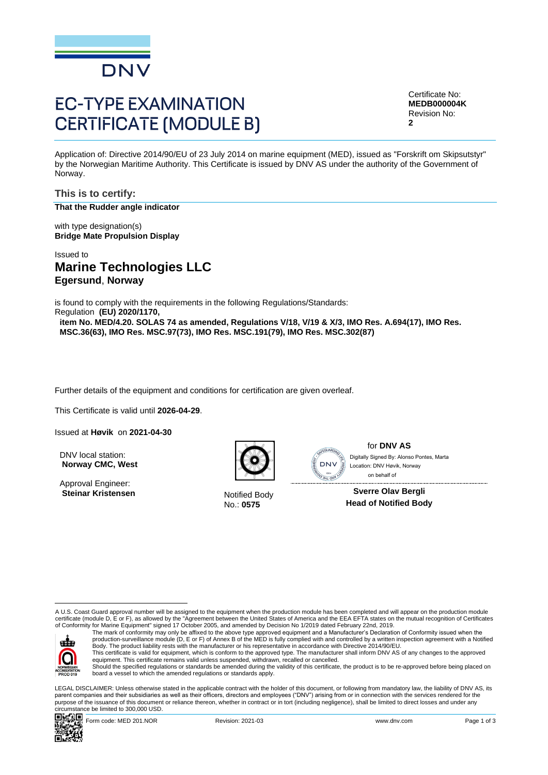

# **EC-TYPE EXAMINATION CERTIFICATE (MODULE B)**

Certificate No: **MEDB000004K** Revision No: **2**

Application of: Directive 2014/90/EU of 23 July 2014 on marine equipment (MED), issued as "Forskrift om Skipsutstyr" by the Norwegian Maritime Authority. This Certificate is issued by DNV AS under the authority of the Government of Norway.

**This is to certify: That the Rudder angle indicator**

with type designation(s) **Bridge Mate Propulsion Display**

Issued to **Marine Technologies LLC Egersund**, **Norway**

is found to comply with the requirements in the following Regulations/Standards: Regulation **(EU) 2020/1170,** 

**item No. MED/4.20. SOLAS 74 as amended, Regulations V/18, V/19 & X/3, IMO Res. A.694(17), IMO Res. MSC.36(63), IMO Res. MSC.97(73), IMO Res. MSC.191(79), IMO Res. MSC.302(87)**

Further details of the equipment and conditions for certification are given overleaf.

This Certificate is valid until **2026-04-29**.

Issued at **Høvik** on **2021-04-30**

DNV local station: **Norway CMC, West**

Approval Engineer: **Steinar Kristensen** Notified Body



No.: **0575**



for **DNV AS** on behalf ofLocation: DNV Høvik, Norway

**Sverre Olav Bergli Head of Notified Body**

A U.S. Coast Guard approval number will be assigned to the equipment when the production module has been completed and will appear on the production module certificate (module D, E or F), as allowed by the "Agreement between the United States of America and the EEA EFTA states on the mutual recognition of Certificates<br>of Conformity for Marine Equipment" signed 17 October 2005



The mark of conformity may only be affixed to the above type approved equipment and a Manufacturer's Declaration of Conformity issued when the<br>production-surveillance module (D, E or F) of Annex B of the MED is fully compl Body. The product liability rests with the manufacturer or his representative in accordance with Directive 2014/90/EU.

This certificate is valid for equipment, which is conform to the approved type. The manufacturer shall inform DNV AS of any changes to the approved<br>equipment. This certificate remains valid unless suspended, withdrawn, rec Should the specified regulations or standards be amended during the validity of this certificate, the product is to be re-approved before being placed on board a vessel to which the amended regulations or standards apply.

LEGAL DISCLAIMER: Unless otherwise stated in the applicable contract with the holder of this document, or following from mandatory law, the liability of DNV AS, its parent companies and their subsidiaries as well as their officers, directors and employees ("DNV") arising from or in connection with the services rendered for the purpose of the issuance of this document or reliance thereon, whether in contract or in tort (including negligence), shall be limited to direct losses and under any circumstance be limited to 300,000 USD. Contributed Station.<br>
Approval Engineer:<br>
Steinar Kristensen<br>
Approval Engineer:<br>
Steinar Kristensen<br>
Alonso Digital By: Alonso Pontes, Marta<br>
Alonso Digital By: Alonso Pontes, Marta<br>
Alonso Digital By: Alonso Pontes, Mart

回転窗口

Form code: MED 201.NOR **Revision: 2021-03** Revision: 2021-03 www.dnv.com Page 1 of 3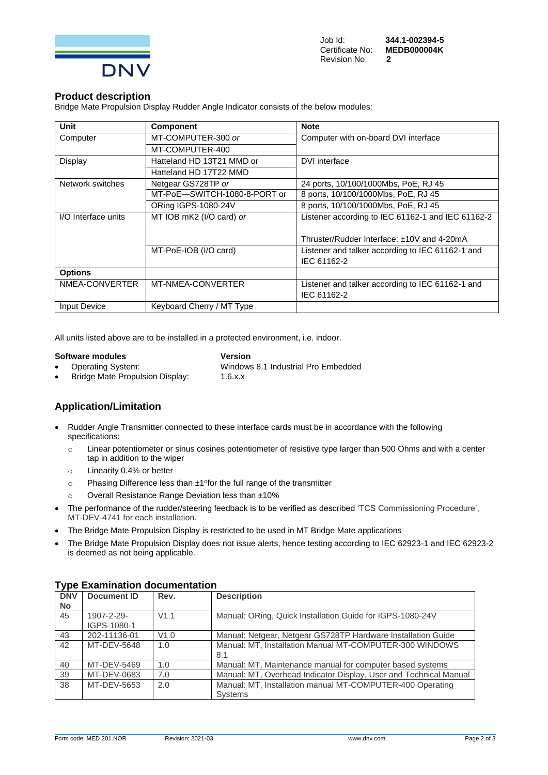

#### **Product description**

Bridge Mate Propulsion Display Rudder Angle Indicator consists of the below modules:

| <b>Unit</b>         | <b>Component</b>             | <b>Note</b>                                       |
|---------------------|------------------------------|---------------------------------------------------|
| Computer            | MT-COMPUTER-300 or           | Computer with on-board DVI interface              |
|                     | MT-COMPUTER-400              |                                                   |
| Display             | Hatteland HD 13T21 MMD or    | DVI interface                                     |
|                     | Hatteland HD 17T22 MMD       |                                                   |
| Network switches    | Netgear GS728TP or           | 24 ports, 10/100/1000Mbs, PoE, RJ 45              |
|                     | MT-PoE-SWITCH-1080-8-PORT or | 8 ports, 10/100/1000Mbs, PoE, RJ 45               |
|                     | <b>ORing IGPS-1080-24V</b>   | 8 ports, 10/100/1000Mbs, PoE, RJ 45               |
| I/O Interface units | MT IOB mK2 (I/O card) or     | Listener according to IEC 61162-1 and IEC 61162-2 |
|                     |                              |                                                   |
|                     |                              | Thruster/Rudder Interface: ±10V and 4-20mA        |
|                     | MT-PoE-IOB (I/O card)        | Listener and talker according to IEC 61162-1 and  |
|                     |                              | IEC 61162-2                                       |
| <b>Options</b>      |                              |                                                   |
| NMEA-CONVERTER      | MT-NMEA-CONVERTER            | Listener and talker according to IEC 61162-1 and  |
|                     |                              | IEC 61162-2                                       |
| <b>Input Device</b> | Keyboard Cherry / MT Type    |                                                   |

All units listed above are to be installed in a protected environment, i.e. indoor.

#### **Software modules Version**

• Operating System: Windows 8.1 Industrial Pro Embedded • Bridge Mate Propulsion Display: 1.6.x.x

## **Application/Limitation**

- Rudder Angle Transmitter connected to these interface cards must be in accordance with the following specifications:
	- $\circ$  Linear potentiometer or sinus cosines potentiometer of resistive type larger than 500 Ohms and with a center tap in addition to the wiper
	- o Linearity 0.4% or better
	- o Phasing Difference less than ±1° for the full range of the transmitter
	- o Overall Resistance Range Deviation less than ±10%
- The performance of the rudder/steering feedback is to be verified as described 'TCS Commissioning Procedure', MT-DEV-4741 for each installation.
- The Bridge Mate Propulsion Display is restricted to be used in MT Bridge Mate applications
- The Bridge Mate Propulsion Display does not issue alerts, hence testing according to IEC 62923-1 and IEC 62923-2 is deemed as not being applicable.

|            | <u>I YDG LAAININGUUN GOCGINGIRAUGH</u> |      |                                                                   |  |  |
|------------|----------------------------------------|------|-------------------------------------------------------------------|--|--|
| <b>DNV</b> | Document ID                            | Rev. | <b>Description</b>                                                |  |  |
| <b>No</b>  |                                        |      |                                                                   |  |  |
| 45         | 1907-2-29-                             | V1.1 | Manual: ORing, Quick Installation Guide for IGPS-1080-24V         |  |  |
|            | IGPS-1080-1                            |      |                                                                   |  |  |
| 43         | 202-11136-01                           | V1.0 | Manual: Netgear, Netgear GS728TP Hardware Installation Guide      |  |  |
| 42         | MT-DEV-5648                            | 1.0  | Manual: MT, Installation Manual MT-COMPUTER-300 WINDOWS           |  |  |
|            |                                        |      | 8.1                                                               |  |  |
| 40         | MT-DEV-5469                            | 1.0  | Manual: MT, Maintenance manual for computer based systems         |  |  |
| 39         | MT-DEV-0683                            | 7.0  | Manual: MT, Overhead Indicator Display, User and Technical Manual |  |  |
| 38         | MT-DEV-5653                            | 2.0  | Manual: MT, Installation manual MT-COMPUTER-400 Operating         |  |  |
|            |                                        |      | <b>Systems</b>                                                    |  |  |

#### **Type Examination documentation**